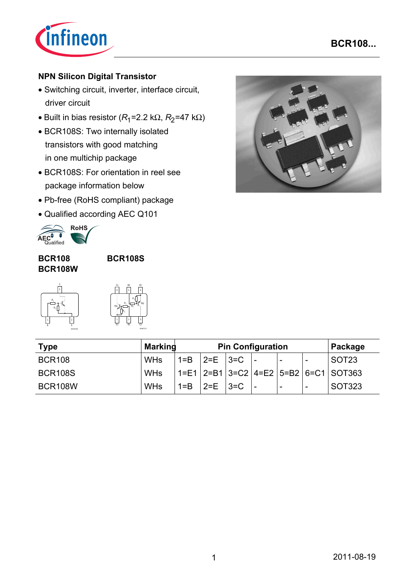

## **NPN Silicon Digital Transistor**

- Switching circuit, inverter, interface circuit, driver circuit
- Built in bias resistor  $(R_1=2.2 \text{ k}\Omega, R_2=47 \text{ k}\Omega)$
- BCR108S: Two internally isolated transistors with good matching in one multichip package
- BCR108S: For orientation in reel see package information below
- Pb-free (RoHS compliant) package
- Qualified according AEC Q101



### **BCR108 BCR108W**

**BCR108S**



| C <sub>1</sub><br>6 |          | B <sub>2</sub><br>5 |                        | E <sub>2</sub>  |
|---------------------|----------|---------------------|------------------------|-----------------|
| TR <sub>1</sub>     | Ŕ.<br>R, |                     | R,<br>$\overline{R_i}$ | TR <sub>2</sub> |

EHA07174

| <b>Type</b>    | <b>Marking</b> | <b>Pin Configuration</b>  |                                   |  |                          |                          | Package                                              |
|----------------|----------------|---------------------------|-----------------------------------|--|--------------------------|--------------------------|------------------------------------------------------|
| <b>BCR108</b>  | <b>WHs</b>     |                           | $1 = B$   $2 = E$   $3 = C$   $-$ |  |                          |                          | SOT23                                                |
| <b>BCR108S</b> | <b>WHs</b>     |                           |                                   |  |                          |                          | $1 = E1$   2=B1   3=C2   4=E2   5=B2   6=C1   SOT363 |
| <b>BCR108W</b> | <b>WHs</b>     | $1 = B$ $ 2 = E$ $ 3 = C$ |                                   |  | $\overline{\phantom{a}}$ | $\overline{\phantom{a}}$ | SOT323                                               |

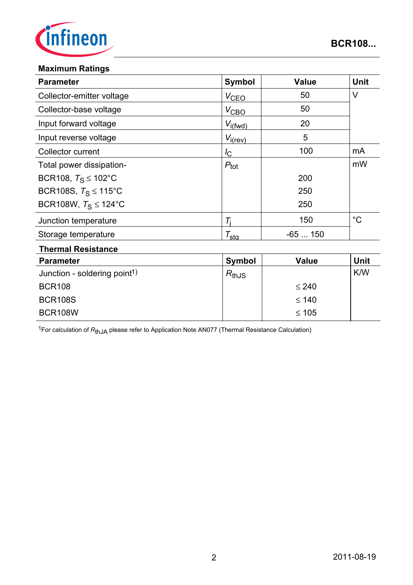

### **Maximum Ratings**

BCR108W

| <b>Parameter</b>                         | <b>Symbol</b>       | <b>Value</b> | <b>Unit</b> |  |
|------------------------------------------|---------------------|--------------|-------------|--|
| Collector-emitter voltage                | $V_{CEQ}$           | 50           | $\vee$      |  |
| Collector-base voltage                   | $V_{\text{CBO}}$    | 50           |             |  |
| Input forward voltage                    | $V_{i(fwd)}$        | 20           |             |  |
| Input reverse voltage                    | $V_{i(rev)}$        | 5            |             |  |
| Collector current                        | $I_{\rm C}$         | 100          | mA          |  |
| Total power dissipation-                 | $P_{\text{tot}}$    |              | mW          |  |
| BCR108, $T_S \le 102^{\circ}$ C          |                     | 200          |             |  |
| BCR108S, $T_S \le 115^{\circ}$ C         |                     | 250          |             |  |
| BCR108W, $T_S \le 124$ °C                |                     | 250          |             |  |
| Junction temperature                     | $T_i$               | 150          | $^{\circ}C$ |  |
| Storage temperature                      | $\tau_{\text{sta}}$ | $-65150$     |             |  |
| <b>Thermal Resistance</b>                |                     |              |             |  |
| <b>Parameter</b>                         | <b>Symbol</b>       | <b>Value</b> | <b>Unit</b> |  |
| Junction - soldering point <sup>1)</sup> | $R_{thJS}$          |              | K/W         |  |
| <b>BCR108</b>                            |                     | $\leq 240$   |             |  |
| <b>BCR108S</b>                           |                     | $\leq 140$   |             |  |

1For calculation of *R*thJA please refer to Application Note AN077 (Thermal Resistance Calculation)

≤ 105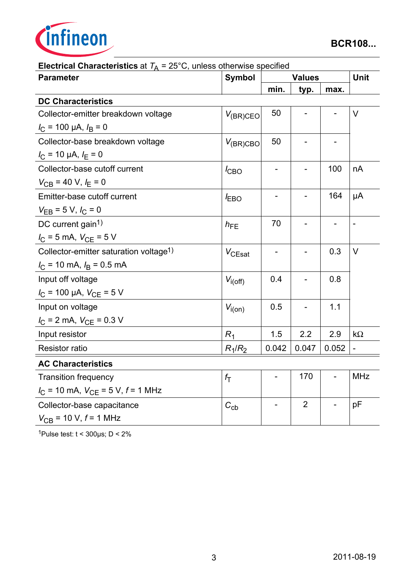

| <b>Parameter</b>                                     | <b>Symbol</b>    | <b>Values</b>                |                |                          | <b>Unit</b>              |
|------------------------------------------------------|------------------|------------------------------|----------------|--------------------------|--------------------------|
|                                                      |                  | min.                         | typ.           | max.                     |                          |
| <b>DC Characteristics</b>                            |                  |                              |                |                          |                          |
| Collector-emitter breakdown voltage                  | $V_{(BR)CEO}$    | 50                           |                |                          | $\vee$                   |
| $I_{\rm C}$ = 100 µA, $I_{\rm B}$ = 0                |                  |                              |                |                          |                          |
| Collector-base breakdown voltage                     | $V_{(BR)CBO}$    | 50                           |                |                          |                          |
| $I_{\rm C}$ = 10 µA, $I_{\rm E}$ = 0                 |                  |                              |                |                          |                          |
| Collector-base cutoff current                        | $I_{CBO}$        |                              |                | 100                      | nA                       |
| $V_{CB}$ = 40 V, $I_E$ = 0                           |                  |                              |                |                          |                          |
| Emitter-base cutoff current                          | $I_{EBO}$        |                              |                | 164                      | μA                       |
| $V_{EB} = 5 V, I_C = 0$                              |                  |                              |                |                          |                          |
| DC current gain <sup>1)</sup>                        | $h_{FE}$         | 70                           |                | $\overline{\phantom{a}}$ | $\overline{\phantom{a}}$ |
| $I_C = 5$ mA, $V_{CE} = 5$ V                         |                  |                              |                |                          |                          |
| Collector-emitter saturation voltage <sup>1)</sup>   | $V_{CEsat}$      | $\qquad \qquad \blacksquare$ |                | 0.3                      | $\vee$                   |
| $I_C$ = 10 mA, $I_B$ = 0.5 mA                        |                  |                              |                |                          |                          |
| Input off voltage                                    | $V_{i(off)}$     | 0.4                          |                | 0.8                      |                          |
| $I_{\rm C}$ = 100 µA, $V_{\rm CE}$ = 5 V             |                  |                              |                |                          |                          |
| Input on voltage                                     | $V_{i(0n)}$      | 0.5                          |                | 1.1                      |                          |
| $I_{\rm C}$ = 2 mA, $V_{\rm CE}$ = 0.3 V             |                  |                              |                |                          |                          |
| Input resistor                                       | $R_1$            | 1.5                          | 2.2            | 2.9                      | $k\Omega$                |
| <b>Resistor ratio</b>                                | $R_1/R_2$        | 0.042                        | 0.047          | 0.052                    |                          |
| <b>AC Characteristics</b>                            |                  |                              |                |                          |                          |
| <b>Transition frequency</b>                          | $f_{\mathsf{T}}$ |                              | 170            |                          | <b>MHz</b>               |
| $I_{\rm C}$ = 10 mA, $V_{\rm CE}$ = 5 V, $f$ = 1 MHz |                  |                              |                |                          |                          |
| Collector-base capacitance                           | $C_{\rm cb}$     |                              | $\overline{2}$ |                          | pF                       |
| $V_{CB}$ = 10 V, $f$ = 1 MHz                         |                  |                              |                |                          |                          |

**Electrical Characteristics** at  $T_A = 25^\circ \text{C}$ , unless otherwise specified

1Pulse test:  $t < 300 \mu s$ ;  $D < 2\%$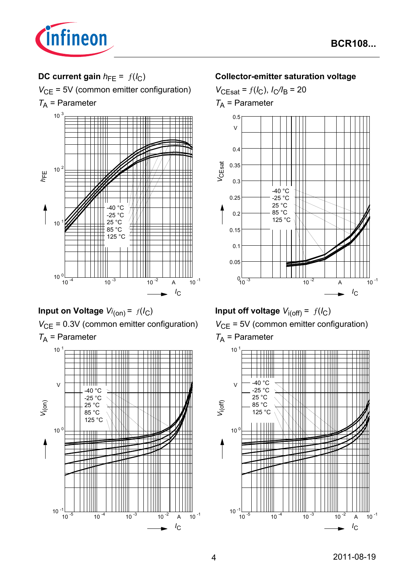

# **DC current gain**  $h_{FE} = f(l_C)$

 $V_{\text{CE}}$  = 5V (common emitter configuration)

 $T_A$  = Parameter



**Input on Voltage** *Vi* (on) = ƒ(*I*C) *V*<sub>CE</sub> = 0.3V (common emitter configuration)  $T_A$  = Parameter



### **Collector-emitter saturation voltage**



**Input off voltage**  $V_{i(off)} = f(I_C)$ *V*<sub>CE</sub> = 5V (common emitter configuration)  $T_A$  = Parameter

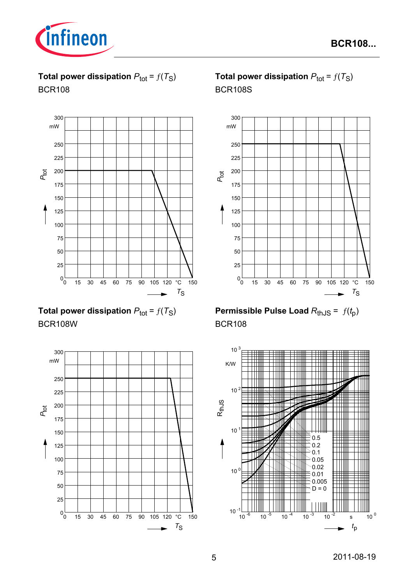

**Total power dissipation**  $P_{\text{tot}} = f(T_S)$ BCR108



**Total power dissipation**  $P_{\text{tot}} = f(T_S)$ BCR108W



**Total power dissipation**  $P_{\text{tot}} = f(T_S)$ BCR108S



**Permissible Pulse Load**  $R_{th,JS} = f(t_p)$ BCR108

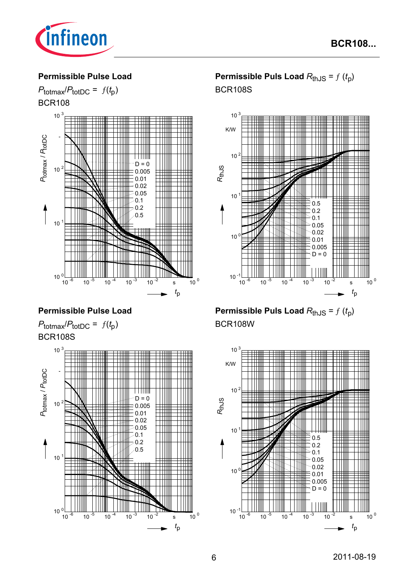

### **Permissible Pulse Load**



## **Permissible Pulse Load**





# **Permissible Puls Load**  $R_{thJS} = f(t_p)$ BCR108S



**Permissible Puls Load**  $R_{thJS} = f(t_p)$ BCR108W

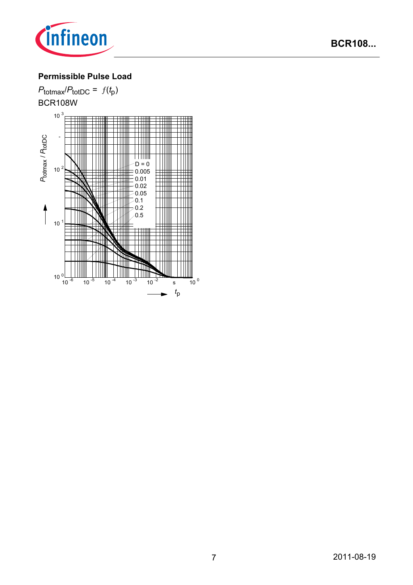

# **Permissible Pulse Load**

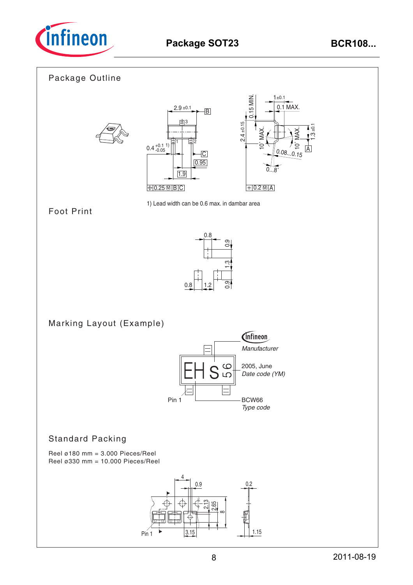

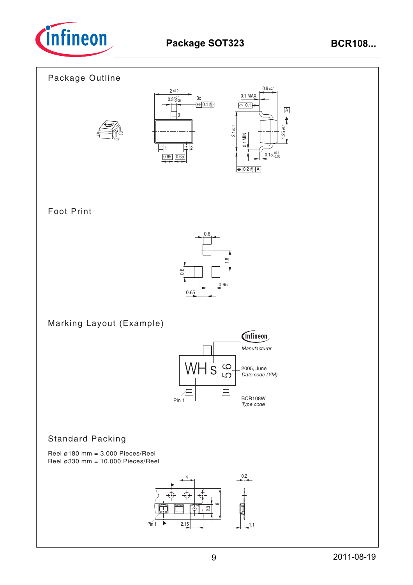

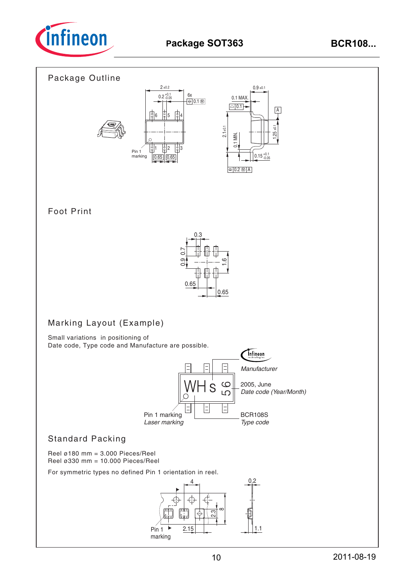